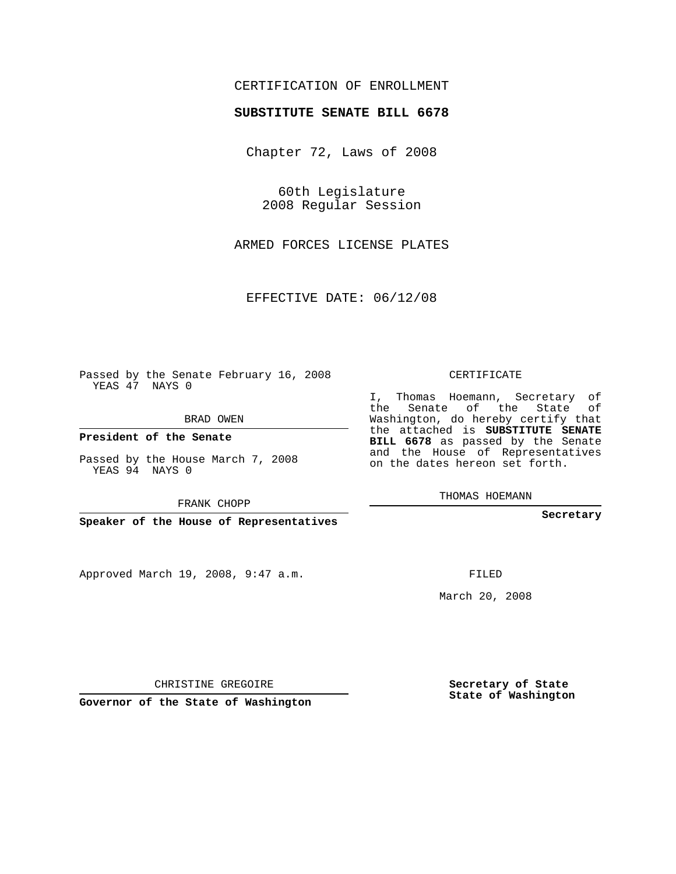# CERTIFICATION OF ENROLLMENT

### **SUBSTITUTE SENATE BILL 6678**

Chapter 72, Laws of 2008

60th Legislature 2008 Regular Session

ARMED FORCES LICENSE PLATES

EFFECTIVE DATE: 06/12/08

Passed by the Senate February 16, 2008 YEAS 47 NAYS 0

BRAD OWEN

**President of the Senate**

Passed by the House March 7, 2008 YEAS 94 NAYS 0

FRANK CHOPP

**Speaker of the House of Representatives**

Approved March 19, 2008, 9:47 a.m.

CERTIFICATE

I, Thomas Hoemann, Secretary of the Senate of the State of Washington, do hereby certify that the attached is **SUBSTITUTE SENATE BILL 6678** as passed by the Senate and the House of Representatives on the dates hereon set forth.

THOMAS HOEMANN

**Secretary**

FILED

March 20, 2008

**Secretary of State State of Washington**

CHRISTINE GREGOIRE

**Governor of the State of Washington**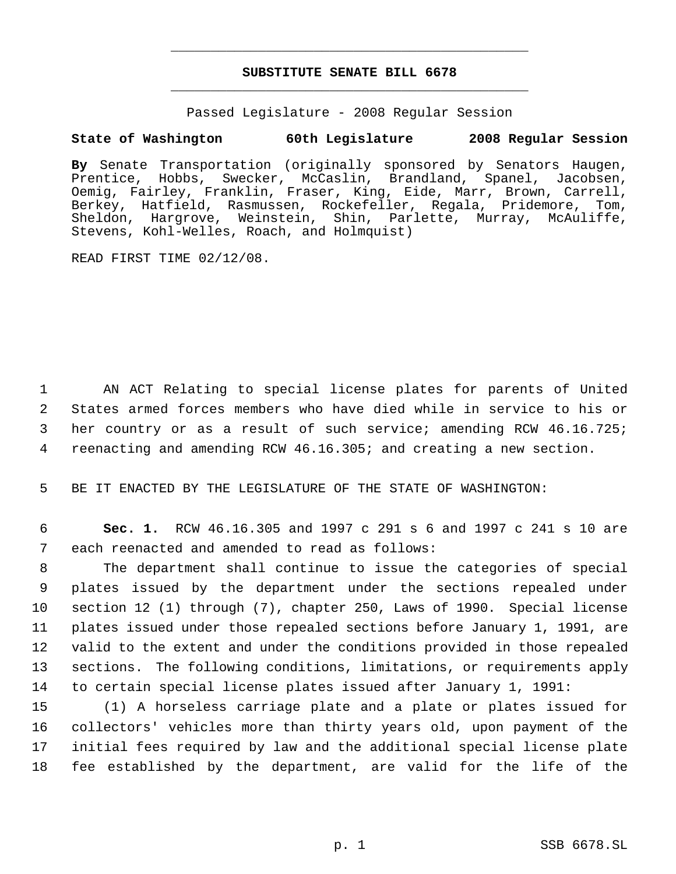# **SUBSTITUTE SENATE BILL 6678** \_\_\_\_\_\_\_\_\_\_\_\_\_\_\_\_\_\_\_\_\_\_\_\_\_\_\_\_\_\_\_\_\_\_\_\_\_\_\_\_\_\_\_\_\_

\_\_\_\_\_\_\_\_\_\_\_\_\_\_\_\_\_\_\_\_\_\_\_\_\_\_\_\_\_\_\_\_\_\_\_\_\_\_\_\_\_\_\_\_\_

Passed Legislature - 2008 Regular Session

# **State of Washington 60th Legislature 2008 Regular Session**

**By** Senate Transportation (originally sponsored by Senators Haugen, Prentice, Hobbs, Swecker, McCaslin, Brandland, Spanel, Jacobsen, Oemig, Fairley, Franklin, Fraser, King, Eide, Marr, Brown, Carrell, Berkey, Hatfield, Rasmussen, Rockefeller, Regala, Pridemore, Tom, Sheldon, Hargrove, Weinstein, Shin, Parlette, Murray, McAuliffe, Stevens, Kohl-Welles, Roach, and Holmquist)

READ FIRST TIME 02/12/08.

 AN ACT Relating to special license plates for parents of United States armed forces members who have died while in service to his or her country or as a result of such service; amending RCW 46.16.725; reenacting and amending RCW 46.16.305; and creating a new section.

5 BE IT ENACTED BY THE LEGISLATURE OF THE STATE OF WASHINGTON:

 6 **Sec. 1.** RCW 46.16.305 and 1997 c 291 s 6 and 1997 c 241 s 10 are 7 each reenacted and amended to read as follows:

 The department shall continue to issue the categories of special plates issued by the department under the sections repealed under section 12 (1) through (7), chapter 250, Laws of 1990. Special license plates issued under those repealed sections before January 1, 1991, are valid to the extent and under the conditions provided in those repealed sections. The following conditions, limitations, or requirements apply to certain special license plates issued after January 1, 1991:

 (1) A horseless carriage plate and a plate or plates issued for collectors' vehicles more than thirty years old, upon payment of the initial fees required by law and the additional special license plate fee established by the department, are valid for the life of the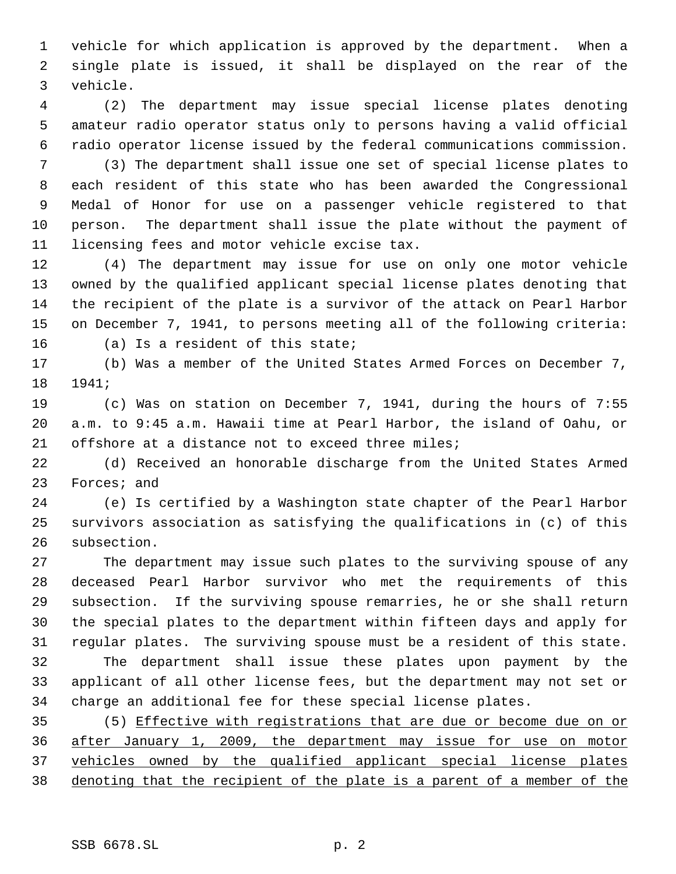vehicle for which application is approved by the department. When a single plate is issued, it shall be displayed on the rear of the vehicle.

 (2) The department may issue special license plates denoting amateur radio operator status only to persons having a valid official radio operator license issued by the federal communications commission.

 (3) The department shall issue one set of special license plates to each resident of this state who has been awarded the Congressional Medal of Honor for use on a passenger vehicle registered to that person. The department shall issue the plate without the payment of licensing fees and motor vehicle excise tax.

 (4) The department may issue for use on only one motor vehicle owned by the qualified applicant special license plates denoting that the recipient of the plate is a survivor of the attack on Pearl Harbor on December 7, 1941, to persons meeting all of the following criteria: (a) Is a resident of this state;

 (b) Was a member of the United States Armed Forces on December 7, 1941;

 (c) Was on station on December 7, 1941, during the hours of 7:55 a.m. to 9:45 a.m. Hawaii time at Pearl Harbor, the island of Oahu, or offshore at a distance not to exceed three miles;

 (d) Received an honorable discharge from the United States Armed Forces; and

 (e) Is certified by a Washington state chapter of the Pearl Harbor survivors association as satisfying the qualifications in (c) of this subsection.

 The department may issue such plates to the surviving spouse of any deceased Pearl Harbor survivor who met the requirements of this subsection. If the surviving spouse remarries, he or she shall return the special plates to the department within fifteen days and apply for regular plates. The surviving spouse must be a resident of this state. The department shall issue these plates upon payment by the applicant of all other license fees, but the department may not set or

charge an additional fee for these special license plates.

 (5) Effective with registrations that are due or become due on or after January 1, 2009, the department may issue for use on motor vehicles owned by the qualified applicant special license plates denoting that the recipient of the plate is a parent of a member of the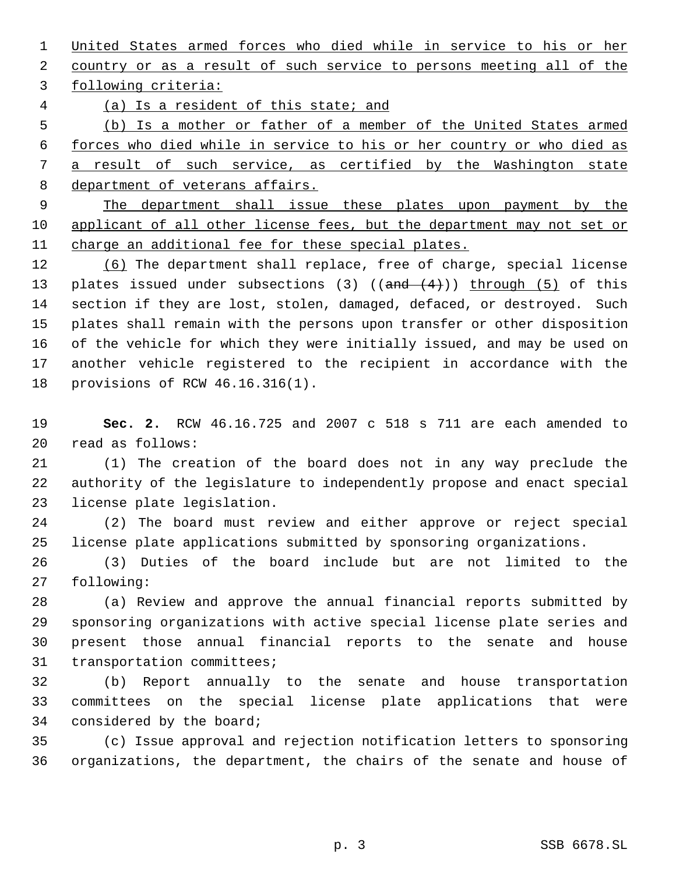United States armed forces who died while in service to his or her country or as a result of such service to persons meeting all of the

following criteria:

(a) Is a resident of this state; and

 (b) Is a mother or father of a member of the United States armed forces who died while in service to his or her country or who died as a result of such service, as certified by the Washington state 8 department of veterans affairs.

 The department shall issue these plates upon payment by the 10 applicant of all other license fees, but the department may not set or charge an additional fee for these special plates.

 (6) The department shall replace, free of charge, special license 13 plates issued under subsections (3) (( $\text{and} \quad (4)$ )) through (5) of this section if they are lost, stolen, damaged, defaced, or destroyed. Such plates shall remain with the persons upon transfer or other disposition of the vehicle for which they were initially issued, and may be used on another vehicle registered to the recipient in accordance with the provisions of RCW 46.16.316(1).

 **Sec. 2.** RCW 46.16.725 and 2007 c 518 s 711 are each amended to read as follows:

 (1) The creation of the board does not in any way preclude the authority of the legislature to independently propose and enact special license plate legislation.

 (2) The board must review and either approve or reject special license plate applications submitted by sponsoring organizations.

 (3) Duties of the board include but are not limited to the following:

 (a) Review and approve the annual financial reports submitted by sponsoring organizations with active special license plate series and present those annual financial reports to the senate and house transportation committees;

 (b) Report annually to the senate and house transportation committees on the special license plate applications that were considered by the board;

 (c) Issue approval and rejection notification letters to sponsoring organizations, the department, the chairs of the senate and house of